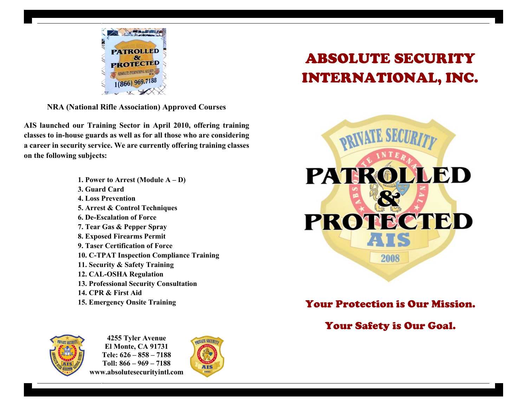

**NRA (National Rifle Association) Approved Courses**

**AIS launched our Training Sector in April 2010, offering training classes to in-house guards as well as for all those who are considering a career in security service. We are currently offering training classes on the following subjects:** 

> **1. Power to Arrest (Module A – D) 3. Guard Card 4. Loss Prevention 5. Arrest & Control Techniques 6. De-Escalation of Force 7. Tear Gas & Pepper Spray 8. Exposed Firearms Permit 9. Taser Certification of Force 10. C-TPAT Inspection Compliance Training 11. Security & Safety Training 12. CAL-OSHA Regulation 13. Professional Security Consultation 14. CPR & First Aid 15. Emergency Onsite Training**



**4255 Tyler Avenue El Monte, CA 91731 Tele: 626 – 858 – 7188 Toll: 866 – 969 – 7188 www.absolutesecurityintl.com**



# ABSOLUTE SECURITY INTERNATIONAL, INC.



Your Protection is Our Mission.

# Your Safety is Our Goal.